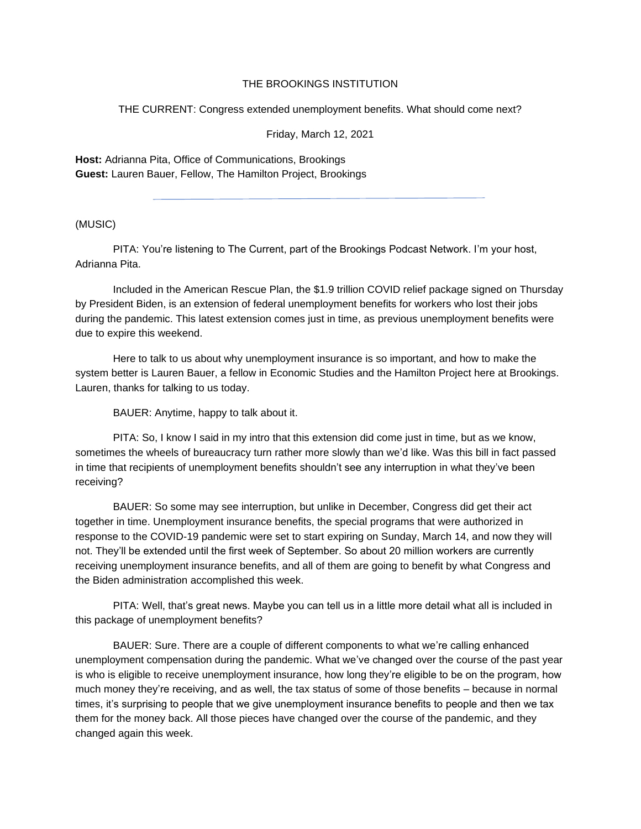## THE BROOKINGS INSTITUTION

THE CURRENT: Congress extended unemployment benefits. What should come next?

Friday, March 12, 2021

**Host:** Adrianna Pita, Office of Communications, Brookings **Guest:** Lauren Bauer, Fellow, The Hamilton Project, Brookings

(MUSIC)

PITA: You're listening to The Current, part of the Brookings Podcast Network. I'm your host, Adrianna Pita.

Included in the American Rescue Plan, the \$1.9 trillion COVID relief package signed on Thursday by President Biden, is an extension of federal unemployment benefits for workers who lost their jobs during the pandemic. This latest extension comes just in time, as previous unemployment benefits were due to expire this weekend.

Here to talk to us about why unemployment insurance is so important, and how to make the system better is Lauren Bauer, a fellow in Economic Studies and the Hamilton Project here at Brookings. Lauren, thanks for talking to us today.

BAUER: Anytime, happy to talk about it.

PITA: So, I know I said in my intro that this extension did come just in time, but as we know, sometimes the wheels of bureaucracy turn rather more slowly than we'd like. Was this bill in fact passed in time that recipients of unemployment benefits shouldn't see any interruption in what they've been receiving?

BAUER: So some may see interruption, but unlike in December, Congress did get their act together in time. Unemployment insurance benefits, the special programs that were authorized in response to the COVID-19 pandemic were set to start expiring on Sunday, March 14, and now they will not. They'll be extended until the first week of September. So about 20 million workers are currently receiving unemployment insurance benefits, and all of them are going to benefit by what Congress and the Biden administration accomplished this week.

PITA: Well, that's great news. Maybe you can tell us in a little more detail what all is included in this package of unemployment benefits?

BAUER: Sure. There are a couple of different components to what we're calling enhanced unemployment compensation during the pandemic. What we've changed over the course of the past year is who is eligible to receive unemployment insurance, how long they're eligible to be on the program, how much money they're receiving, and as well, the tax status of some of those benefits – because in normal times, it's surprising to people that we give unemployment insurance benefits to people and then we tax them for the money back. All those pieces have changed over the course of the pandemic, and they changed again this week.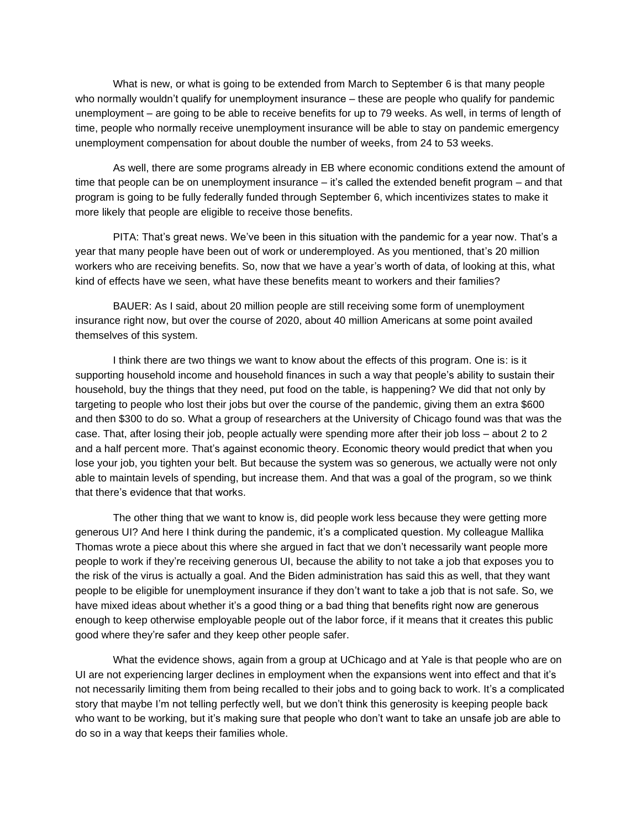What is new, or what is going to be extended from March to September 6 is that many people who normally wouldn't qualify for unemployment insurance – these are people who qualify for pandemic unemployment – are going to be able to receive benefits for up to 79 weeks. As well, in terms of length of time, people who normally receive unemployment insurance will be able to stay on pandemic emergency unemployment compensation for about double the number of weeks, from 24 to 53 weeks.

As well, there are some programs already in EB where economic conditions extend the amount of time that people can be on unemployment insurance – it's called the extended benefit program – and that program is going to be fully federally funded through September 6, which incentivizes states to make it more likely that people are eligible to receive those benefits.

PITA: That's great news. We've been in this situation with the pandemic for a year now. That's a year that many people have been out of work or underemployed. As you mentioned, that's 20 million workers who are receiving benefits. So, now that we have a year's worth of data, of looking at this, what kind of effects have we seen, what have these benefits meant to workers and their families?

BAUER: As I said, about 20 million people are still receiving some form of unemployment insurance right now, but over the course of 2020, about 40 million Americans at some point availed themselves of this system.

I think there are two things we want to know about the effects of this program. One is: is it supporting household income and household finances in such a way that people's ability to sustain their household, buy the things that they need, put food on the table, is happening? We did that not only by targeting to people who lost their jobs but over the course of the pandemic, giving them an extra \$600 and then \$300 to do so. What a group of researchers at the University of Chicago found was that was the case. That, after losing their job, people actually were spending more after their job loss – about 2 to 2 and a half percent more. That's against economic theory. Economic theory would predict that when you lose your job, you tighten your belt. But because the system was so generous, we actually were not only able to maintain levels of spending, but increase them. And that was a goal of the program, so we think that there's evidence that that works.

The other thing that we want to know is, did people work less because they were getting more generous UI? And here I think during the pandemic, it's a complicated question. My colleague Mallika Thomas wrote a piece about this where she argued in fact that we don't necessarily want people more people to work if they're receiving generous UI, because the ability to not take a job that exposes you to the risk of the virus is actually a goal. And the Biden administration has said this as well, that they want people to be eligible for unemployment insurance if they don't want to take a job that is not safe. So, we have mixed ideas about whether it's a good thing or a bad thing that benefits right now are generous enough to keep otherwise employable people out of the labor force, if it means that it creates this public good where they're safer and they keep other people safer.

What the evidence shows, again from a group at UChicago and at Yale is that people who are on UI are not experiencing larger declines in employment when the expansions went into effect and that it's not necessarily limiting them from being recalled to their jobs and to going back to work. It's a complicated story that maybe I'm not telling perfectly well, but we don't think this generosity is keeping people back who want to be working, but it's making sure that people who don't want to take an unsafe job are able to do so in a way that keeps their families whole.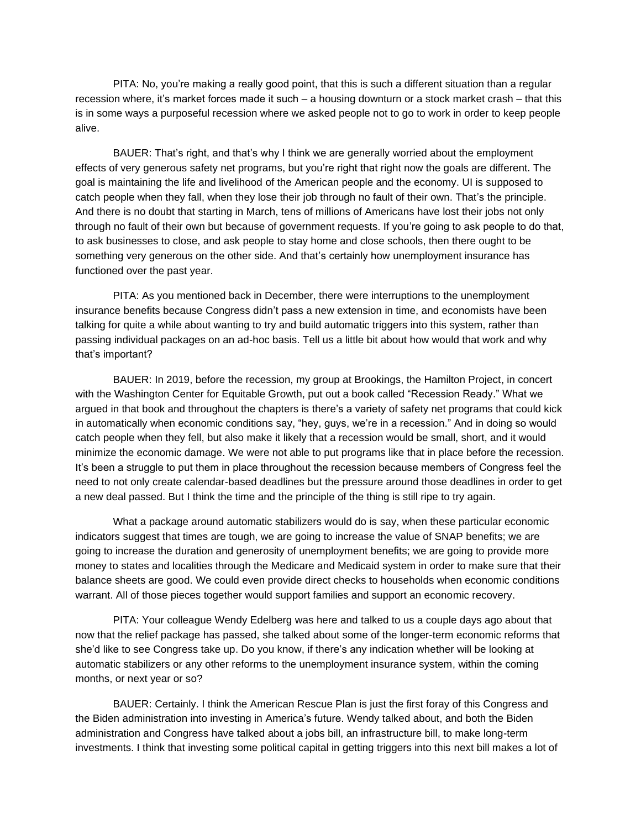PITA: No, you're making a really good point, that this is such a different situation than a regular recession where, it's market forces made it such – a housing downturn or a stock market crash – that this is in some ways a purposeful recession where we asked people not to go to work in order to keep people alive.

BAUER: That's right, and that's why I think we are generally worried about the employment effects of very generous safety net programs, but you're right that right now the goals are different. The goal is maintaining the life and livelihood of the American people and the economy. UI is supposed to catch people when they fall, when they lose their job through no fault of their own. That's the principle. And there is no doubt that starting in March, tens of millions of Americans have lost their jobs not only through no fault of their own but because of government requests. If you're going to ask people to do that, to ask businesses to close, and ask people to stay home and close schools, then there ought to be something very generous on the other side. And that's certainly how unemployment insurance has functioned over the past year.

PITA: As you mentioned back in December, there were interruptions to the unemployment insurance benefits because Congress didn't pass a new extension in time, and economists have been talking for quite a while about wanting to try and build automatic triggers into this system, rather than passing individual packages on an ad-hoc basis. Tell us a little bit about how would that work and why that's important?

BAUER: In 2019, before the recession, my group at Brookings, the Hamilton Project, in concert with the Washington Center for Equitable Growth, put out a book called "Recession Ready." What we argued in that book and throughout the chapters is there's a variety of safety net programs that could kick in automatically when economic conditions say, "hey, guys, we're in a recession." And in doing so would catch people when they fell, but also make it likely that a recession would be small, short, and it would minimize the economic damage. We were not able to put programs like that in place before the recession. It's been a struggle to put them in place throughout the recession because members of Congress feel the need to not only create calendar-based deadlines but the pressure around those deadlines in order to get a new deal passed. But I think the time and the principle of the thing is still ripe to try again.

What a package around automatic stabilizers would do is say, when these particular economic indicators suggest that times are tough, we are going to increase the value of SNAP benefits; we are going to increase the duration and generosity of unemployment benefits; we are going to provide more money to states and localities through the Medicare and Medicaid system in order to make sure that their balance sheets are good. We could even provide direct checks to households when economic conditions warrant. All of those pieces together would support families and support an economic recovery.

PITA: Your colleague Wendy Edelberg was here and talked to us a couple days ago about that now that the relief package has passed, she talked about some of the longer-term economic reforms that she'd like to see Congress take up. Do you know, if there's any indication whether will be looking at automatic stabilizers or any other reforms to the unemployment insurance system, within the coming months, or next year or so?

BAUER: Certainly. I think the American Rescue Plan is just the first foray of this Congress and the Biden administration into investing in America's future. Wendy talked about, and both the Biden administration and Congress have talked about a jobs bill, an infrastructure bill, to make long-term investments. I think that investing some political capital in getting triggers into this next bill makes a lot of